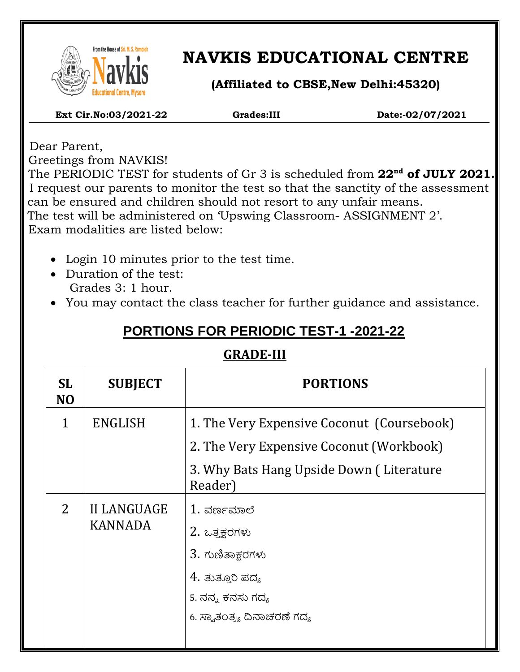

 $\overline{\phantom{a}}$ 

# **NAVKIS EDUCATIONAL CENTRE**

**(Affiliated to CBSE,New Delhi:45320)**

 **Ext Cir.No:03/2021-22 Grades:III Date:-02/07/2021**

 Dear Parent, Greetings from NAVKIS!

 The PERIODIC TEST for students of Gr 3 is scheduled from **22nd of JULY 2021.** I request our parents to monitor the test so that the sanctity of the assessment can be ensured and children should not resort to any unfair means. The test will be administered on 'Upswing Classroom- ASSIGNMENT 2'. Exam modalities are listed below:

- Login 10 minutes prior to the test time.
- Duration of the test: Grades 3: 1 hour.
- You may contact the class teacher for further guidance and assistance.

## **PORTIONS FOR PERIODIC TEST-1 -2021-22**

### **GRADE-III**

| <b>SL</b><br>N <sub>O</sub> | <b>SUBJECT</b>                | <b>PORTIONS</b>                                     |  |
|-----------------------------|-------------------------------|-----------------------------------------------------|--|
| $\mathbf{1}$                | <b>ENGLISH</b>                | 1. The Very Expensive Coconut (Coursebook)          |  |
|                             |                               | 2. The Very Expensive Coconut (Workbook)            |  |
|                             |                               | 3. Why Bats Hang Upside Down (Literature<br>Reader) |  |
| $\overline{2}$              | II LANGUAGE<br><b>KANNADA</b> | $1$ . ವರ್ಣಮಾಲೆ                                      |  |
|                             |                               | 2. ಒತ್ತಕ್ಷರಗಳು                                      |  |
|                             |                               | 3. ಗುಣಿತಾ <del>ಕ್</del> ಷರಗಳು                       |  |
|                             |                               | 4. ತುತ್ತೂರಿ ಪದ್ಯ                                    |  |
|                             |                               | 5. ನನ್ನ ಕನಸು ಗದ್ಯ                                   |  |
|                             |                               | 6. ಸ್ಯಾತಂತ್ರ್ಯ ದಿನಾಚರಣೆ ಗದ್ಯ                        |  |
|                             |                               |                                                     |  |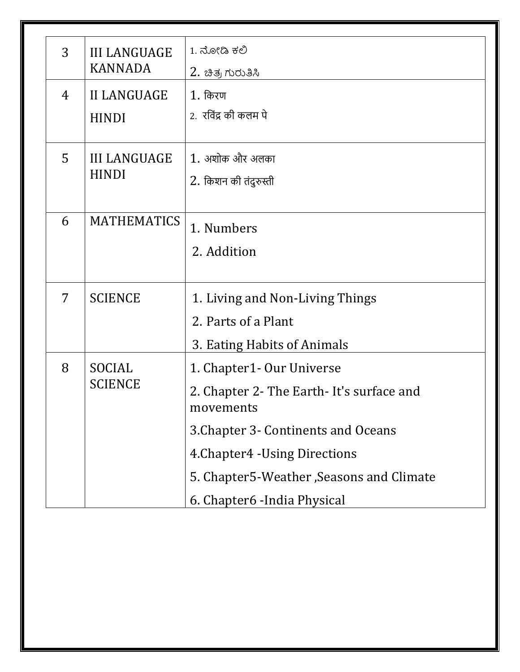| $\overline{3}$ | <b>III LANGUAGE</b><br><b>KANNADA</b> | 1. ನೋಡಿ ಕಲಿ                                           |  |
|----------------|---------------------------------------|-------------------------------------------------------|--|
|                |                                       | 2. ಚಿತ್ರ ಗುರುತಿಸಿ                                     |  |
| $\overline{4}$ | <b>II LANGUAGE</b>                    | $1.$ किरण                                             |  |
| <b>HINDI</b>   |                                       | 2. रविंद्र की कलम पे                                  |  |
| 5              | <b>III LANGUAGE</b><br><b>HINDI</b>   | $1.$ अशोक और अलका                                     |  |
|                |                                       | 2. किशन की तंदुरुस्ती                                 |  |
| 6              | <b>MATHEMATICS</b>                    | 1. Numbers                                            |  |
|                |                                       | 2. Addition                                           |  |
|                |                                       |                                                       |  |
| 7              | <b>SCIENCE</b>                        | 1. Living and Non-Living Things                       |  |
|                |                                       | 2. Parts of a Plant                                   |  |
|                |                                       | 3. Eating Habits of Animals                           |  |
| 8              | SOCIAL<br><b>SCIENCE</b>              | 1. Chapter1 - Our Universe                            |  |
|                |                                       | 2. Chapter 2- The Earth-It's surface and<br>movements |  |
|                |                                       | 3. Chapter 3 - Continents and Oceans                  |  |
|                |                                       | 4. Chapter 4 - Using Directions                       |  |
|                |                                       | 5. Chapter5-Weather, Seasons and Climate              |  |
|                |                                       | 6. Chapter6 - India Physical                          |  |